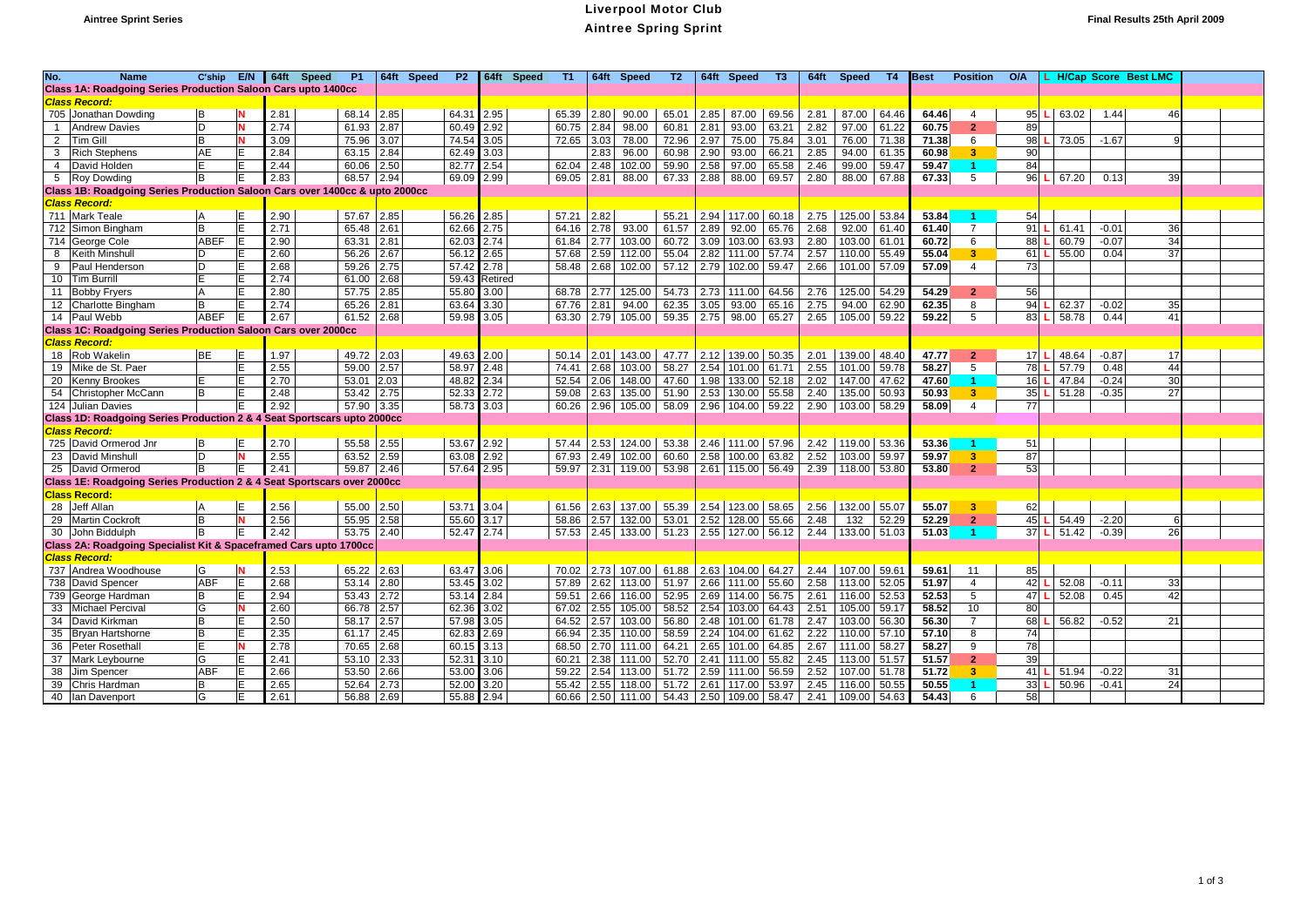## **Aintree Sprint Series** Liverpool Motor Club Aintree Spring Sprint **Final Results 25th April 2009**

| No.          | <b>Name</b>                                                                 | C'ship       | E/N      |      | 64ft Speed | <b>P1</b>  |      | 64ft Speed<br><b>P2</b> |                | 64ft Speed | T1    |      | 64ft Speed            | T2    |      | 64ft Speed              | T3    |      | 64ft Speed            | T4    | <b>Best</b> | <b>Position</b>         | O/A |       |         | L H/Cap Score Best LMC |  |
|--------------|-----------------------------------------------------------------------------|--------------|----------|------|------------|------------|------|-------------------------|----------------|------------|-------|------|-----------------------|-------|------|-------------------------|-------|------|-----------------------|-------|-------------|-------------------------|-----|-------|---------|------------------------|--|
|              | Class 1A: Roadgoing Series Production Saloon Cars upto 1400cc               |              |          |      |            |            |      |                         |                |            |       |      |                       |       |      |                         |       |      |                       |       |             |                         |     |       |         |                        |  |
|              | <b>Class Record:</b>                                                        |              |          |      |            |            |      |                         |                |            |       |      |                       |       |      |                         |       |      |                       |       |             |                         |     |       |         |                        |  |
|              | 705 Jonathan Dowding                                                        |              | N        | 2.81 |            | 68.14      | 2.85 | 64.31                   | 2.95           |            | 65.39 | 2.80 | 90.00                 | 65.01 |      | 2.85 87.00              | 69.56 | 2.81 | 87.00 64.46           |       | 64.46       | $\overline{4}$          | 95  | 63.02 | 1.44    | 46                     |  |
| $\mathbf{1}$ | Andrew Davies                                                               | D            | N        | 2.74 |            | 61.93      | 2.87 | 60.49                   | 2.92           |            | 60.75 | 2.84 | 98.00                 | 60.81 | 2.81 | 93.00                   | 63.21 | 2.82 | 97.00                 | 61.22 | 60.75       | $\overline{2}$          | 89  |       |         |                        |  |
|              | 2 Tim Gill                                                                  | <sub>B</sub> | N        | 3.09 |            | 75.96      | 3.07 | 74.54                   | 3.05           |            | 72.65 | 3.03 | 78.00                 | 72.96 |      | 2.97 75.00              | 75.84 | 3.01 | 76.00                 | 71.38 | 71.38       | 6                       | 98  | 73.05 | $-1.67$ |                        |  |
|              | 3 Rich Stephens                                                             | AE           | E        | 2.84 |            | 63.15      | 2.84 | 62.49                   | 3.03           |            |       | 2.83 | 96.00                 | 60.98 |      | $2.90$ 93.00            | 66.21 | 2.85 | 94.00 61.35           |       | 60.98       | 3 <sup>7</sup>          | 90  |       |         |                        |  |
|              | 4 David Holden                                                              |              | E        | 2.44 |            | 60.06      | 2.50 | 82.77                   | 2.54           |            | 62.04 | 2.48 | 102.00                | 59.90 |      | 2.58 97.00              | 65.58 | 2.46 | 99.00 59.47           |       | 59.47       |                         | 84  |       |         |                        |  |
|              | 5 Roy Dowding                                                               | B            | E        | 2.83 |            | 68.57      | 2.94 | 69.09                   | 2.99           |            | 69.05 | 2.81 | 88.00                 | 67.33 |      | 2.88 88.00 69.57        |       | 2.80 | 88.00 67.88           |       | 67.33       | 5                       | 96  | 67.20 | 0.13    | 39                     |  |
|              | Class 1B: Roadgoing Series Production Saloon Cars over 1400cc & upto 2000cc |              |          |      |            |            |      |                         |                |            |       |      |                       |       |      |                         |       |      |                       |       |             |                         |     |       |         |                        |  |
|              | <b>Class Record:</b>                                                        |              |          |      |            |            |      |                         |                |            |       |      |                       |       |      |                         |       |      |                       |       |             |                         |     |       |         |                        |  |
|              | 711 Mark Teale                                                              |              | IE.      | 2.90 |            | 57.67 2.85 |      | 56.26                   | 2.85           |            | 57.21 | 2.82 |                       |       |      | 55.21 2.94 117.00 60.18 |       | 2.75 | 125.00 53.84          |       | 53.84       |                         | 54  |       |         |                        |  |
|              | 712 Simon Bingham                                                           | B            | E        | 2.71 |            | 65.48      | 2.61 | 62.66                   | 2.75           |            | 64.16 | 2.78 | 93.00                 | 61.57 |      | 2.89 92.00              | 65.76 | 2.68 | 92.00 61.40           |       | 61.40       | $\overline{7}$          | 91  | 61.41 | $-0.01$ | 36                     |  |
|              | 714 George Cole                                                             | ABEF         | E        | 2.90 |            | 63.31      | 2.81 | 62.03                   | 2.74           |            | 61.84 | 2.77 | 103.00                | 60.72 |      | 3.09 103.00 63.93       |       | 2.80 | 103.00 61.01          |       | 60.72       | 6                       | 88  | 60.79 | $-0.07$ | 34                     |  |
| 8            | <b>Keith Minshull</b>                                                       |              | E        | 2.60 |            | 56.26      | 2.67 | 56.12                   | 2.65           |            | 57.68 | 2.59 | 112.00                | 55.04 |      | 2.82 111.00 57.74       |       | 2.57 | 110.00 55.49          |       | 55.04       | 3 <sup>7</sup>          | 61  | 55.00 | 0.04    | 37                     |  |
| 9            | <b>Paul Henderson</b>                                                       |              | lЕ       | 2.68 |            | 59.26      | 2.75 | 57.42                   | 2.78           |            | 58.48 | 2.68 | 102.00                | 57.12 |      | 2.79 102.00 59.47       |       | 2.66 | 101.00 57.09          |       | 57.09       | $\overline{4}$          | 73  |       |         |                        |  |
|              | 10 Tim Burrill                                                              |              | E        | 2.74 |            | 61.00      | 2.68 | 59.43                   | <b>Retired</b> |            |       |      |                       |       |      |                         |       |      |                       |       |             |                         |     |       |         |                        |  |
|              | 11 Bobby Fryers                                                             |              | E        | 2.80 |            | 57.75      | 2.85 | 55.80                   | 3.00           |            | 68.78 | 2.77 | 125.00                | 54.73 |      | 2.73   111.00   64.56   |       | 2.76 | 125.00 54.29          |       | 54.29       | 2                       | 56  |       |         |                        |  |
|              | 12 Charlotte Bingham                                                        |              | E        | 2.74 |            | 65.26      | 2.81 | 63.64                   | 3.30           |            | 67.76 | 2.81 | 94.00                 | 62.35 |      | $3.05$ 93.00            | 65.16 | 2.75 | 94.00                 | 62.90 | 62.35       | 8                       | 94  | 62.37 | $-0.02$ | 35                     |  |
|              | 14 Paul Webb                                                                | ABEF         | IE.      | 2.67 |            | 61.52      | 2.68 | 59.98                   | 3.05           |            | 63.30 |      | 2.79 105.00 59.35     |       |      | 2.75 98.00 65.27        |       |      | 2.65   105.00   59.22 |       | 59.22       | 5                       | 83  | 58.78 | 0.44    | 41                     |  |
|              | <b>Class 1C: Roadgoing Series Production Saloon Cars over 2000cc</b>        |              |          |      |            |            |      |                         |                |            |       |      |                       |       |      |                         |       |      |                       |       |             |                         |     |       |         |                        |  |
|              | Class Record:                                                               |              |          |      |            |            |      |                         |                |            |       |      |                       |       |      |                         |       |      |                       |       |             |                         |     |       |         |                        |  |
|              | 18 Rob Wakelin                                                              | BE           | E        | 1.97 |            | 49.72      | 2.03 | 49.63                   | 2.00           |            | 50.14 |      | 2.01 143.00           |       |      | 47.77 2.12 139.00 50.35 |       | 2.01 | 139.00 48.40          |       | 47.77       | $\overline{2}$          | 17  | 48.64 | $-0.87$ | 17                     |  |
|              | 19 Mike de St. Paer                                                         |              | İΕ       | 2.55 |            | 59.00      | 2.57 | 58.97                   | 2.48           |            | 74.41 | 2.68 | 103.00                | 58.27 |      | 2.54   101.00   61.71   |       | 2.55 | 101.00 59.78          |       | 58.27       | 5                       | 78  | 57.79 | 0.48    | 44                     |  |
|              | 20 Kenny Brookes                                                            |              | lЕ       | 2.70 |            | 53.01      | 2.03 | 48.82                   | 2.34           |            | 52.54 | 2.06 | 148.00                |       |      | 47.60 1.98 133.00 52.18 |       | 2.02 | 147.00 47.62          |       | 47.60       | -1.                     | 16  | 47.84 | $-0.24$ | 30                     |  |
|              | 54 Christopher McCann                                                       | B            | İΕ       | 2.48 |            | 53.42      | 2.75 | 52.33                   | 2.72           |            | 59.08 | 2.63 | 135.00                | 51.90 |      | 2.53 130.00 55.58       |       | 2.40 | 135.00 50.93          |       | 50.93       | $\overline{\mathbf{3}}$ | 35  | 51.28 | $-0.35$ | 27                     |  |
|              | 124 Julian Davies                                                           |              | E        | 2.92 |            | 57.90      | 3.35 | 58.73                   | 3.03           |            | 60.26 |      | 2.96 105.00 58.09     |       |      | 2.96 104.00 59.22       |       | 2.90 | 103.00 58.29          |       | 58.09       | $\overline{4}$          | 77  |       |         |                        |  |
|              | Class 1D: Roadgoing Series Production 2 & 4 Seat Sportscars upto 2000cc     |              |          |      |            |            |      |                         |                |            |       |      |                       |       |      |                         |       |      |                       |       |             |                         |     |       |         |                        |  |
|              | <b>Class Record:</b>                                                        |              |          |      |            |            |      |                         |                |            |       |      |                       |       |      |                         |       |      |                       |       |             |                         |     |       |         |                        |  |
|              | 725 David Ormerod Jnr                                                       |              | lΕ       | 2.70 |            | 55.58      | 2.55 |                         | 53.67 2.92     |            | 57.44 |      | 2.53 124.00           |       |      | 53.38 2.46 111.00 57.96 |       | 2.42 | 119.00 53.36          |       | 53.36       |                         | 51  |       |         |                        |  |
|              | 23 David Minshull                                                           |              | <b>N</b> | 2.55 |            | 63.52      | 2.59 | 63.08                   | 2.92           |            | 67.93 | 2.49 | 102.00                | 60.60 |      | 2.58 100.00 63.82       |       | 2.52 | 103.00 59.97          |       | 59.97       | $\overline{\mathbf{3}}$ | 87  |       |         |                        |  |
|              | 25 David Ormerod                                                            | <b>B</b>     | ΙE       | 2.41 |            | 59.87 2.46 |      | 57.64                   | 2.95           |            | 59.97 |      | 2.31 119.00 53.98     |       |      | 2.61 115.00 56.49       |       | 2.39 | $118.00$ 53.80        |       | 53.80       | $\overline{2}$          | 53  |       |         |                        |  |
|              | Class 1E: Roadgoing Series Production 2 & 4 Seat Sportscars over 2000cc     |              |          |      |            |            |      |                         |                |            |       |      |                       |       |      |                         |       |      |                       |       |             |                         |     |       |         |                        |  |
|              | <b>Class Record:</b>                                                        |              |          |      |            |            |      |                         |                |            |       |      |                       |       |      |                         |       |      |                       |       |             |                         |     |       |         |                        |  |
|              | 28 Jeff Allan                                                               |              | lE.      | 2.56 |            | 55.00      | 2.50 | 53.71                   | 3.04           |            | 61.56 |      | 2.63 137.00           |       |      | 55.39 2.54 123.00 58.65 |       | 2.56 | 132.00 55.07          |       | 55.07       | 3                       | 62  |       |         |                        |  |
|              | 29 Martin Cockroft                                                          | B            | N        | 2.56 |            | 55.95      | 2.58 | 55.60                   | 3.17           |            | 58.86 | 2.57 | 132.00                | 53.01 |      | 2.52 128.00             | 55.66 | 2.48 | 132                   | 52.29 | 52.29       | $\overline{2}$          | 45  | 54.49 | $-2.20$ |                        |  |
|              | 30 John Biddulph                                                            | B            | E        | 2.42 |            | 53.75      | 2.40 | 52.47                   | 2.74           |            | 57.53 |      | 2.45   133.00   51.23 |       |      | 2.55 127.00 56.12       |       |      | 2.44   133.00   51.03 |       | 51.03       | $\blacktriangleleft$    | 37  | 51.42 | $-0.39$ | 26                     |  |
|              | Class 2A: Roadgoing Specialist Kit & Spaceframed Cars upto 1700co           |              |          |      |            |            |      |                         |                |            |       |      |                       |       |      |                         |       |      |                       |       |             |                         |     |       |         |                        |  |
|              | <b>Class Record:</b>                                                        |              |          |      |            |            |      |                         |                |            |       |      |                       |       |      |                         |       |      |                       |       |             |                         |     |       |         |                        |  |
|              | 737 Andrea Woodhouse                                                        | G            | N        | 2.53 |            | 65.22      | 2.63 | 63.47                   | 3.06           |            | 70.02 |      | 2.73 107.00           | 61.88 |      | 2.63 104.00 64.27       |       | 2.44 | 107.00 59.61          |       | 59.61       | 11                      | 85  |       |         |                        |  |
|              | 738 David Spencer                                                           | ABF          | lE.      | 2.68 |            | 53.14      | 2.80 | 53.45                   | 3.02           |            | 57.89 | 2.62 | 113.00                | 51.97 |      | 2.66 111.00 55.60       |       | 2.58 | 113.00 52.05          |       | 51.97       | $\overline{4}$          | 42  | 52.08 | $-0.11$ | 33                     |  |
|              | 739 George Hardman                                                          | в            | E        | 2.94 |            | 53.43      | 2.72 | 53.14                   | 2.84           |            | 59.51 |      | 2.66 116.00           | 52.95 |      | 2.69   114.00   56.75   |       | 2.61 | 116.00 52.53          |       | 52.53       | 5                       | 47  | 52.08 | 0.45    | 42                     |  |
|              | 33 Michael Percival                                                         | G            | N        | 2.60 |            | 66.78      | 2.57 | 62.36                   | 3.02           |            | 67.02 | 2.55 | 105.00                | 58.52 |      | 2.54 103.00             | 64.43 | 2.51 | 105.00 59.17          |       | 58.52       | 10                      | 80  |       |         |                        |  |
|              | 34 David Kirkman                                                            | B            | lE.      | 2.50 |            | 58.17      | 2.57 | 57.98                   | 3.05           |            | 64.52 | 2.57 | 103.00                | 56.80 |      | 2.48 101.00 61.78       |       | 2.47 | 103.00 56.30          |       | 56.30       | $\overline{7}$          | 68  | 56.82 | $-0.52$ | 21                     |  |
|              | 35 Bryan Hartshorne                                                         |              | E        | 2.35 |            | 61.17      | 2.45 | 62.83                   | 2.69           |            | 66.94 |      | 2.35 110.00           | 58.59 |      | 2.24 104.00 61.62       |       | 2.22 | 110.00 57.10          |       | 57.10       | 8                       | 74  |       |         |                        |  |
|              | 36 Peter Rosethall                                                          |              | N        | 2.78 |            | 70.65      | 2.68 | 60.15                   | 3.13           |            | 68.50 |      | 2.70 111.00           | 64.21 |      | 2.65 101.00             | 64.85 | 2.67 | 111.00 58.27          |       | 58.27       | 9                       | 78  |       |         |                        |  |
|              | 37 Mark Leybourne                                                           |              | İΕ       | 2.41 |            | 53.10      | 2.33 | 52.3                    | 3.10           |            | 60.21 | 2.38 | 111.00                | 52.70 |      | 2.41 111.00             | 55.82 | 2.45 | 113.00 51.57          |       | 51.57       | $\overline{2}$          | 39  |       |         |                        |  |
|              | 38 Jim Spencer                                                              | ABF          | lE.      | 2.66 |            | 53.50      | 2.66 | 53.00                   | 3.06           |            | 59.22 | 2.54 | 113.00                | 51.72 |      | 2.59 111.00             | 56.59 | 2.52 | 107.00 51.78          |       | 51.72       | $\mathbf{R}$            | 41  | 51.94 | $-0.22$ | 31                     |  |
|              | 39 Chris Hardman                                                            |              | İΕ       | 2.65 |            | 52.64      | 2.73 | 52.00                   | 3.20           |            | 55.42 | 2.55 | 118.00                | 51.72 |      | 2.61 117.00 53.97       |       | 2.45 | 116.00 50.55          |       | 50.55       |                         | 33  | 50.96 | $-0.41$ | 24                     |  |
|              | 40 Ian Davenport                                                            | G            | E        | 2.61 |            | 56.88      | 2.69 | 55.88                   | 2.94           |            |       |      | 60.66 2.50 111.00     |       |      | 54.43 2.50 109.00 58.47 |       | 2.41 | 109.00                | 54.63 | 54.43       | 6                       | 58  |       |         |                        |  |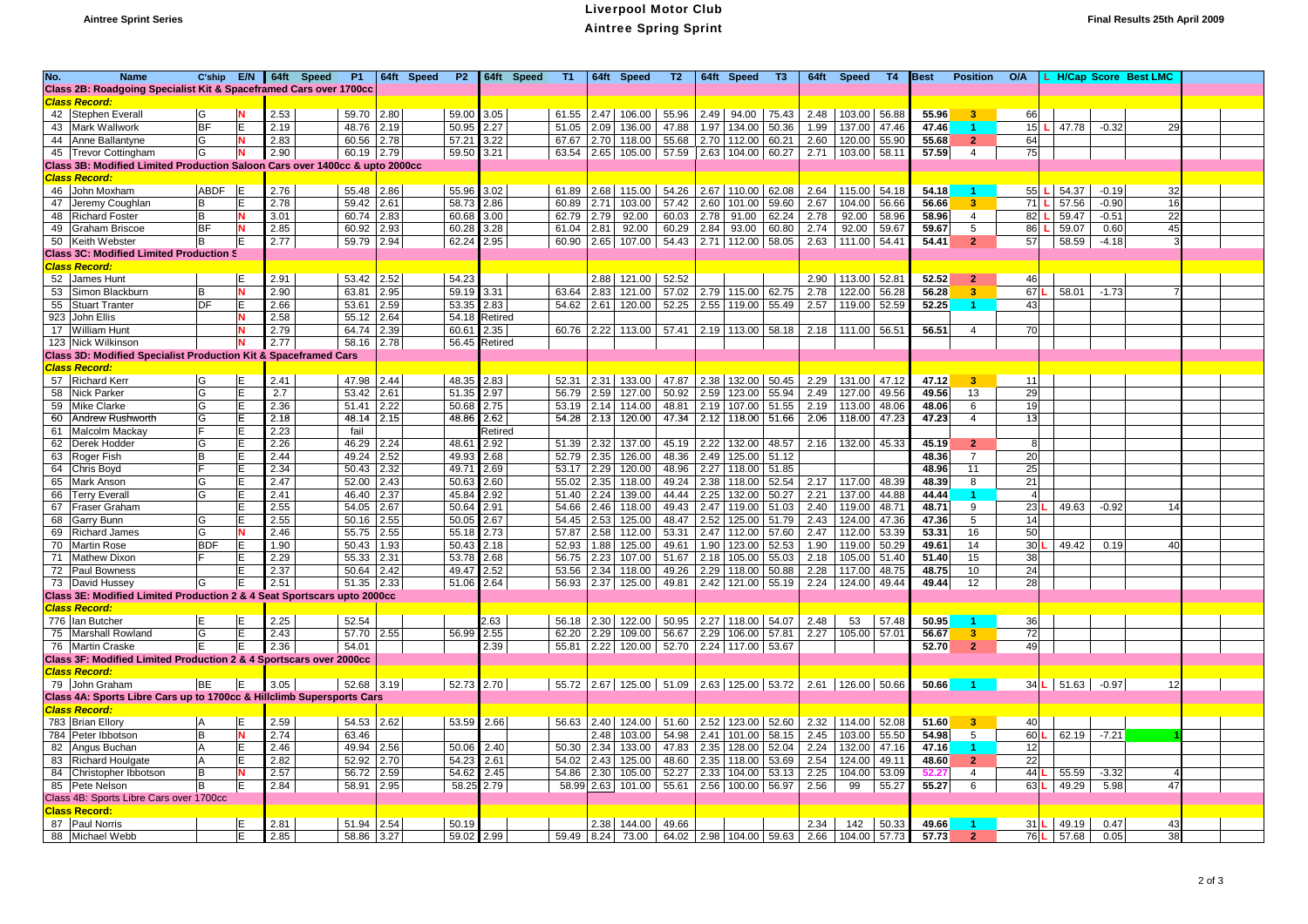## **Aintree Sprint Series** Liverpool Motor Club Aintree Spring Sprint **Final Results 25th April 2009**

| No. | <b>Name</b>                                                                                   | C'ship        |           | E/N 64ft Speed | <b>P1</b> |            | 64ft Speed | <b>P2</b>     |         | 64ft Speed | T1.   |      | 64ft Speed                          | T2    |      | 64ft Speed              | T3    | 64ft | <b>Speed</b>          | T4        | Best  | <b>Position</b>         | O/A |              | <b>H/Cap Score Best LMC</b> |  |
|-----|-----------------------------------------------------------------------------------------------|---------------|-----------|----------------|-----------|------------|------------|---------------|---------|------------|-------|------|-------------------------------------|-------|------|-------------------------|-------|------|-----------------------|-----------|-------|-------------------------|-----|--------------|-----------------------------|--|
|     | Class 2B: Roadgoing Specialist Kit & Spaceframed Cars over 1700cc                             |               |           |                |           |            |            |               |         |            |       |      |                                     |       |      |                         |       |      |                       |           |       |                         |     |              |                             |  |
|     | Class Record:                                                                                 |               |           |                |           |            |            |               |         |            |       |      |                                     |       |      |                         |       |      |                       |           |       |                         |     |              |                             |  |
|     | 42 Stephen Everall                                                                            | lG            |           | 2.53           | 59.70     | 2.80       |            | 59.00 3.05    |         |            | 61.55 |      | 2.47 106.00                         | 55.96 |      | 2.49 94.00 75.43        |       | 2.48 | 103.00 56.88          |           | 55.96 | 3 <sup>7</sup>          | 66  |              |                             |  |
|     | 43 Mark Wallwork                                                                              | BF            | lΕ        | 2.19           | 48.76     | 2.19       |            | 50.95         | 2.27    |            | 51.05 | 2.09 | 136.00                              | 47.88 |      | 1.97 134.00             | 50.36 | 1.99 | 137.00                | 47.46     | 47.46 |                         | 15  | 47.78        | $-0.32$<br>29               |  |
|     | 44 Anne Ballantyne                                                                            | G             |           | 2.83           | 60.56     | 2.78       |            | 57.21         | 3.22    |            | 67.67 |      | 2.70 118.00                         | 55.68 |      | 2.70 112.00 60.21       |       | 2.60 | 120.00 55.90          |           | 55.68 | $\overline{2}$          | 64  |              |                             |  |
|     | 45 Trevor Cottingham                                                                          | lG            | N         | 2.90           | 60.19     | 2.79       |            | 59.50         | 3.21    |            | 63.54 |      | 2.65 105.00 57.59 2.63 104.00 60.27 |       |      |                         |       | 2.71 | 103.00 58.11          |           | 57.59 | $\overline{4}$          | 75  |              |                             |  |
|     | Class 3B: Modified Limited Production Saloon Cars over 1400cc & upto 2000cc                   |               |           |                |           |            |            |               |         |            |       |      |                                     |       |      |                         |       |      |                       |           |       |                         |     |              |                             |  |
|     | <b>Class Record:</b>                                                                          |               |           |                |           |            |            |               |         |            |       |      |                                     |       |      |                         |       |      |                       |           |       |                         |     |              |                             |  |
|     | 46 John Moxham                                                                                | ABDF          | <b>IE</b> | 2.76           | 55.48     | 2.86       |            | 55.96         | 3.02    |            | 61.89 |      | 2.68 115.00                         | 54.26 |      | 2.67   110.00   62.08   |       | 2.64 | 115.00 54.18          |           | 54.18 |                         | 55  | $L$ 54.37    | $-0.19$<br>32               |  |
|     |                                                                                               |               | E         | 2.78           | 59.42     | 2.61       |            | 58.73         | 2.86    |            | 60.89 | 2.71 | 103.00                              | 57.42 | 2.60 | 101.00                  | 59.60 | 2.67 |                       |           | 56.66 | $\mathbf{R}$            | 71  | 57.56        | $-0.90$<br>16               |  |
|     | 47 Jeremy Coughlan                                                                            | B             | N         |                |           |            |            |               |         |            |       |      |                                     |       |      |                         |       |      | 104.00 56.66          |           |       |                         |     |              |                             |  |
| 48  | <b>Richard Foster</b>                                                                         | B             |           | 3.01           | 60.74     | 2.83       |            | 60.68         | 3.00    |            | 62.79 | 2.79 | 92.00                               | 60.03 | 2.78 | 91.00 62.24             |       | 2.78 | 92.00 58.96           |           | 58.96 | $\overline{4}$          | 82  | 59.47        | 22<br>$-0.51$               |  |
| 49  | <b>Graham Briscoe</b>                                                                         | <b>BF</b>     | N         | 2.85           | 60.92     | 2.93       |            | 60.28         | 3.28    |            | 61.04 | 2.81 | 92.00                               | 60.29 | 2.84 | 93.00                   | 60.80 | 2.74 | 92.00 59.67           |           | 59.67 | 5                       | 86  | 59.07        | 45<br>0.60                  |  |
|     | 50 Keith Webster                                                                              | lB.           | ΙE        | 2.77           | 59.79     | 2.94       |            | 62.24         | 2.95    |            | 60.90 |      | 2.65 107.00                         | 54.43 |      | 2.71 112.00 58.05       |       | 2.63 | 111.00 54.41          |           | 54.41 | $\mathbf{2}$            | 57  | 58.59        | $-4.18$                     |  |
|     | <b>Class 3C: Modified Limited Production S</b>                                                |               |           |                |           |            |            |               |         |            |       |      |                                     |       |      |                         |       |      |                       |           |       |                         |     |              |                             |  |
|     | <b>Class Record:</b>                                                                          |               |           |                |           |            |            |               |         |            |       |      |                                     |       |      |                         |       |      |                       |           |       |                         |     |              |                             |  |
|     | 52 James Hunt                                                                                 |               | E.        | 2.91           | 53.42     | 2.52       |            | 54.23         |         |            |       |      | 2.88   121.00   52.52               |       |      |                         |       | 2.90 | 113.00 52.81          |           | 52.52 | $\overline{2}$          | 46  |              |                             |  |
|     | 53 Simon Blackburn                                                                            | B             | <b>N</b>  | 2.90           | 63.81     | 2.95       |            | 59.19 3.31    |         |            | 63.64 | 2.83 | 121.00                              | 57.02 |      | 2.79 115.00 62.75       |       | 2.78 | 122.00                | 56.28     | 56.28 | 3.                      | 67  | 58.01        | $-1.73$                     |  |
|     | 55 Stuart Tranter                                                                             | <b>DF</b>     | E         | 2.66           | 53.61     | 2.59       |            | 53.35         | 2.83    |            |       |      | 54.62 2.61 120.00                   | 52.25 |      | 2.55 119.00 55.49       |       | 2.57 | 119.00 52.59          |           | 52.25 | $\mathbf{1}$            | 43  |              |                             |  |
|     | 923 John Ellis                                                                                |               | N         | 2.58           | 55.12     | 2.64       |            | 54.18 Retired |         |            |       |      |                                     |       |      |                         |       |      |                       |           |       |                         |     |              |                             |  |
|     | 17 William Hunt                                                                               |               | N         | 2.79           | 64.74     | 2.39       |            | 60.61         | 2.35    |            | 60.76 |      | 2.22 113.00                         |       |      | 57.41 2.19 113.00 58.18 |       |      | 2.18 111.00 56.51     |           | 56.51 | 4                       | 70  |              |                             |  |
|     | 123 Nick Wilkinson                                                                            |               |           | 2.77           | 58.16     | 2.78       |            | 56.45         | Retired |            |       |      |                                     |       |      |                         |       |      |                       |           |       |                         |     |              |                             |  |
|     | Class 3D: Modified Specialist Production Kit & Spaceframed Cars                               |               |           |                |           |            |            |               |         |            |       |      |                                     |       |      |                         |       |      |                       |           |       |                         |     |              |                             |  |
|     | <b>Class Record:</b>                                                                          |               |           |                |           |            |            |               |         |            |       |      |                                     |       |      |                         |       |      |                       |           |       |                         |     |              |                             |  |
|     | 57 Richard Kerr                                                                               | lG            | E.        | 2.41           | 47.98     | 2.44       |            | 48.35 2.83    |         |            | 52.31 | 2.31 | 133.00                              | 47.87 |      | 2.38 132.00 50.45       |       | 2.29 | 131.00 47.12          |           | 47.12 | 3 <sup>°</sup>          | 11  |              |                             |  |
|     | 58 Nick Parker                                                                                | G             | E         | 2.7            | 53.42     | 2.61       |            | 51.35         | 2.97    |            | 56.79 | 2.59 | 127.00                              | 50.92 | 2.59 | 123.00                  | 55.94 | 2.49 | 127.00                | 49.56     | 49.56 | 13                      | 29  |              |                             |  |
| 59  | Mike Clarke                                                                                   | G             | lE.       | 2.36           | 51.41     | 2.22       |            | 50.68         | 2.75    |            | 53.19 |      | 2.14 114.00                         | 48.81 |      | 2.19 107.00             | 51.55 | 2.19 | 113.00                | 48.06     | 48.06 | 6                       | 19  |              |                             |  |
|     | 60 Andrew Rushworth                                                                           | lG            | lE.       | 2.18           | 48.14     | 2.15       |            | 48.86         | 2.62    |            |       |      | 54.28 2.13 120.00                   | 47.34 |      | 2.12 118.00 51.66       |       | 2.06 | 118.00 47.23          |           | 47.23 | $\overline{4}$          | 13  |              |                             |  |
| 61  | Malcolm Mackay                                                                                | IF            | E         | 2.23           | fail      |            |            |               | Retired |            |       |      |                                     |       |      |                         |       |      |                       |           |       |                         |     |              |                             |  |
|     |                                                                                               | lG            | lE.       |                |           |            |            |               |         |            |       |      |                                     |       |      |                         |       |      |                       |           | 45.19 | 2 <sup>1</sup>          |     |              |                             |  |
|     | 62 Derek Hodder                                                                               |               | E         | 2.26           | 46.29     | 2.24       |            | 48.61         | 2.92    |            | 51.39 |      | 2.32 137.00                         | 45.19 |      | 2.22 132.00 48.57       |       |      | 2.16   132.00   45.33 |           |       |                         |     |              |                             |  |
| 63  | Roger Fish                                                                                    | B<br>IF       |           | 2.44           | 49.24     | 2.52       |            | 49.93         | 2.68    |            | 52.79 | 2.35 | 126.00                              | 48.36 |      | 2.49 125.00 51.12       |       |      |                       |           | 48.36 | $\overline{7}$          | 20  |              |                             |  |
|     | 64 Chris Boyd                                                                                 |               | ΙE        | 2.34           | 50.43     | 2.32       |            | 49.71         | 2.69    |            | 53.17 |      | 2.29 120.00                         | 48.96 |      | 2.27 118.00 51.85       |       |      |                       |           | 48.96 | 11                      | 25  |              |                             |  |
|     | 65 Mark Anson                                                                                 | G             | E         | 2.47           | 52.00     | 2.43       |            | 50.63         | 2.60    |            | 55.02 |      | 2.35 118.00                         | 49.24 | 2.38 | 118.00                  | 52.54 | 2.17 | 117.00 48.39          |           | 48.39 | 8                       | 21  |              |                             |  |
|     | 66 Terry Everall                                                                              | G             | E         | 2.41           | 46.40     | 2.37       |            | 45.84         | 2.92    |            | 51.40 |      | 2.24 139.00                         | 44.44 | 2.25 | 132.00                  | 50.27 | 2.21 | 137.00                | 44.88     | 44.44 |                         |     |              |                             |  |
|     | 67 Fraser Graham                                                                              |               | E         | 2.55           | 54.05     | 2.67       |            | 50.64         | 2.91    |            | 54.66 | 2.46 | 118.00                              | 49.43 |      | 2.47 119.00 51.03       |       | 2.40 | 119.00                | 48.71     | 48.71 | 9                       | 23  | 49.63        | $-0.92$<br>14               |  |
| 68  | <b>Garry Bunn</b>                                                                             | G             | E         | 2.55           | 50.16     | 2.55       |            | 50.05         | 2.67    |            | 54.45 | 2.53 | 125.00                              | 48.47 | 2.52 | 125.00                  | 51.79 | 2.43 | 124.00                | 47.36     | 47.36 | 5                       | 14  |              |                             |  |
|     | 69 Richard James                                                                              | G             | N         | 2.46           | 55.75     | 2.55       |            | 55.18         | 2.73    |            | 57.87 | 2.58 | 112.00                              | 53.31 |      | 2.47 112.00 57.60       |       | 2.47 | 112.00                | 53.39     | 53.31 | 16                      | 50  |              |                             |  |
| 70  | <b>Martin Rose</b>                                                                            | <b>BDF</b>    | E         | 1.90           | 50.43     | 1.93       |            | 50.43         | 2.18    |            | 52.93 | 1.88 | 125.00                              | 49.61 | 1.90 | 123.00                  | 52.53 | 1.90 | 119.00                | 50.29     | 49.61 | 14                      | 30  | 49.42        | 0.19<br>40                  |  |
|     | 71 Mathew Dixon                                                                               |               | E         | 2.29           | 55.33     | 2.31       |            | 53.78         | 2.68    |            | 56.75 | 2.23 | 107.00                              | 51.67 |      | 2.18 105.00 55.03       |       | 2.18 | 105.00 51.40          |           | 51.40 | 15                      | 38  |              |                             |  |
|     | 72 Paul Bowness                                                                               |               | E         | 2.37           | 50.64     | 2.42       |            | 49.47         | 2.52    |            | 53.56 |      | 2.34 118.00                         | 49.26 |      | 2.29 118.00 50.88       |       | 2.28 | 117.00                | 48.75     | 48.75 | 10                      | 24  |              |                             |  |
|     | 73 David Hussey                                                                               | lG            | lΕ        | 2.51           | 51.35     | 2.33       |            | 51.06         | 2.64    |            | 56.93 |      | 2.37 125.00 49.81                   |       |      | 2.42 121.00 55.19       |       |      | 2.24   124.00   49.44 |           | 49.44 | 12                      | 28  |              |                             |  |
|     | Class 3E: Modified Limited Production 2 & 4 Seat Sportscars upto 2000cc                       |               |           |                |           |            |            |               |         |            |       |      |                                     |       |      |                         |       |      |                       |           |       |                         |     |              |                             |  |
|     | <b>Class Record:</b>                                                                          |               |           |                |           |            |            |               |         |            |       |      |                                     |       |      |                         |       |      |                       |           |       |                         |     |              |                             |  |
|     | 776 Ian Butcher                                                                               | E             | E.        | 2.25           | 52.54     |            |            |               | 2.63    |            | 56.18 |      | 2.30 122.00 50.95                   |       |      | 2.27 118.00 54.07       |       | 2.48 | 53                    | 57.48     | 50.95 |                         | 36  |              |                             |  |
|     | 75 Marshall Rowland                                                                           | G             | E         | 2.43           | 57.70     | 2.55       |            | 56.99         | 2.55    |            | 62.20 | 2.29 | 109.00                              | 56.67 |      | 2.29 106.00 57.81       |       | 2.27 | 105.00                | 57.01     | 56.67 | $\overline{\mathbf{3}}$ | 72  |              |                             |  |
|     | 76 Martin Craske                                                                              | E             | E         | 2.36           | 54.01     |            |            |               | 2.39    |            | 55.81 |      | 2.22 120.00 52.70                   |       |      | 2.24 117.00 53.67       |       |      |                       |           | 52.70 | $\overline{2}$          | 49  |              |                             |  |
|     | Class 3F: Modified Limited Production 2 & 4 Sportscars over 2000cc                            |               |           |                |           |            |            |               |         |            |       |      |                                     |       |      |                         |       |      |                       |           |       |                         |     |              |                             |  |
|     | <b>Class Record:</b>                                                                          |               |           |                |           |            |            |               |         |            |       |      |                                     |       |      |                         |       |      |                       |           |       |                         |     |              |                             |  |
|     | 79 John Graham                                                                                | IBE.          | IE.       | 3.05           |           | 52.68 3.19 |            | 52.73 2.70    |         |            | 55.72 |      | 2.67 125.00 51.09                   |       |      | 2.63 125.00 53.72       |       |      | 2.61   126.00   50.66 |           | 50.66 | -1.                     |     | 34 L 51.63   | $-0.97$<br>-12              |  |
|     |                                                                                               |               |           |                |           |            |            |               |         |            |       |      |                                     |       |      |                         |       |      |                       |           |       |                         |     |              |                             |  |
|     | Class 4A: Sports Libre Cars up to 1700cc & Hillclimb Supersports Cars<br><b>Class Record:</b> |               |           |                |           |            |            |               |         |            |       |      |                                     |       |      |                         |       |      |                       |           |       |                         |     |              |                             |  |
|     |                                                                                               |               | E         |                | 54.53     | 2.62       |            | 53.59 2.66    |         |            |       |      | 2.40 124.00                         | 51.60 |      |                         |       |      | 2.32 114.00 52.08     |           | 51.60 |                         |     |              |                             |  |
|     | 783 Brian Ellory                                                                              | A<br><b>B</b> |           | 2.59           | 63.46     |            |            |               |         |            | 56.63 | 2.48 |                                     |       |      | 2.52 123.00 52.60       |       |      |                       |           |       | 3                       | 40  |              | $-7.21$                     |  |
|     | 784 Peter Ibbotson                                                                            |               | N         | 2.74           |           |            |            |               |         |            |       |      | 103.00                              | 54.98 |      | 2.41   101.00   58.15   |       | 2.45 | 103.00 55.50          |           | 54.98 | 5                       | 60  | 62.19        |                             |  |
|     | 82 Angus Buchan                                                                               | ΙA            | lE.       | 2.46           | 49.94     | 2.56       |            | 50.06         | 2.40    |            | 50.30 |      | 2.34 133.00                         | 47.83 |      | 2.35 128.00 52.04       |       | 2.24 | 132.00                | 47.16     | 47.16 |                         | 12  |              |                             |  |
|     | 83 Richard Houlgate                                                                           | İΑ            | E         | 2.82           | 52.92     | 2.70       |            | 54.23         | 2.61    |            | 54.02 |      | 2.43 125.00                         | 48.60 |      | 2.35 118.00 53.69       |       | 2.54 | 124.00 49.11          |           | 48.60 | 2 <sup>1</sup>          | 22  |              |                             |  |
|     | 84 Christopher Ibbotson                                                                       | B             | N         | 2.57           | 56.72     | 2.59       |            | 54.62         | 2.45    |            | 54.86 |      | 2.30 105.00                         | 52.27 |      | 2.33 104.00 53.13       |       | 2.25 | 104.00                | 53.09     | 52.27 | 4                       | 44  | 55.59        | $-3.32$                     |  |
|     | 85 Pete Nelson                                                                                | lв            | lE.       | 2.84           | 58.91     | 2.95       |            | 58.2          | 2.79    |            | 58.99 |      | 2.63 101.00 55.61                   |       |      | 2.56 100.00 56.97       |       | 2.56 | 99                    | 55.27     | 55.27 | 6                       | 63  | 49.29        | 5.98<br>47                  |  |
|     | Class 4B: Sports Libre Cars over 1700cc                                                       |               |           |                |           |            |            |               |         |            |       |      |                                     |       |      |                         |       |      |                       |           |       |                         |     |              |                             |  |
|     | <b>Class Record:</b>                                                                          |               |           |                |           |            |            |               |         |            |       |      |                                     |       |      |                         |       |      |                       |           |       |                         |     |              |                             |  |
|     | 87 Paul Norris                                                                                |               | E         | 2.81           |           | 51.94 2.54 |            | 50.19         |         |            |       |      | 2.38 144.00 49.66                   |       |      |                         |       | 2.34 |                       | 142 50.33 | 49.66 | - 11                    |     | $31 L$ 49.19 | 0.47<br>43                  |  |
|     | 88 Michael Webb                                                                               |               | lE.       | 2.85           |           | 58.86 3.27 |            | 59.02 2.99    |         |            |       |      | 59.49 8.24 73.00                    |       |      | 64.02 2.98 104.00 59.63 |       |      | 2.66 104.00 57.73     |           | 57.73 | $\overline{2}$          |     | 76 L 57.68   | 38<br>0.05                  |  |